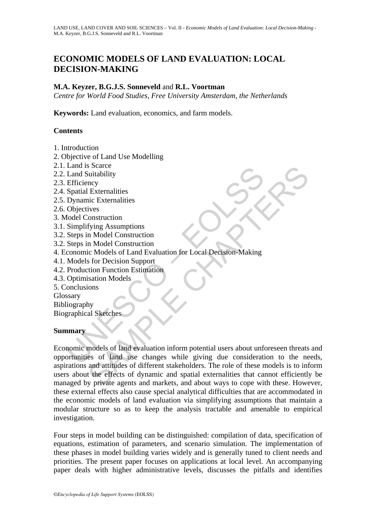# **ECONOMIC MODELS OF LAND EVALUATION: LOCAL DECISION-MAKING**

#### **M.A. Keyzer, B.G.J.S. Sonneveld** and **R.L. Voortman**

*Centre for World Food Studies, Free University Amsterdam, the Netherlands* 

**Keywords:** Land evaluation, economics, and farm models.

#### **Contents**

- 1. Introduction
- 2. Objective of Land Use Modelling
- 2.1. Land is Scarce
- 2.2. Land Suitability
- 2.3. Efficiency
- 2.4. Spatial Externalities
- 2.5. Dynamic Externalities
- 2.6. Objectives
- 3. Model Construction
- 3.1. Simplifying Assumptions
- 3.2. Steps in Model Construction
- 3.2. Steps in Model Construction
- 4. Economic Models of Land Evaluation for Local Decision-Making
- 4.1. Models for Decision Support
- 4.2. Production Function Estimation
- 4.3. Optimisation Models
- 5. Conclusions
- Glossary
- Bibliography

Biographical Sketches

#### **Summary**

Land Suitability<br>
Land Suitability<br>
Land Suitability<br>
Efficiency<br>
Spatial Externalities<br>
Dynamic Externalities<br>
Objectives<br>
Objectives<br>
Objectives<br>
Steps in Model Construction<br>
Steps in Model Construction<br>
Steps in Model C Search<br>
Sacret Chapter and Sciences (Sciences Chapter and Sciences Chapter and Sciences Construction<br>
In Model Construction<br>
In Model Construction<br>
In Model Construction<br>
Sacret Models of Land Evaluation for Local Decision Economic models of land evaluation inform potential users about unforeseen threats and opportunities of land use changes while giving due consideration to the needs, aspirations and attitudes of different stakeholders. The role of these models is to inform users about the effects of dynamic and spatial externalities that cannot efficiently be managed by private agents and markets, and about ways to cope with these. However, these external effects also cause special analytical difficulties that are accommodated in the economic models of land evaluation via simplifying assumptions that maintain a modular structure so as to keep the analysis tractable and amenable to empirical investigation.

Four steps in model building can be distinguished: compilation of data, specification of equations, estimation of parameters, and scenario simulation. The implementation of these phases in model building varies widely and is generally tuned to client needs and priorities. The present paper focuses on applications at local level. An accompanying paper deals with higher administrative levels, discusses the pitfalls and identifies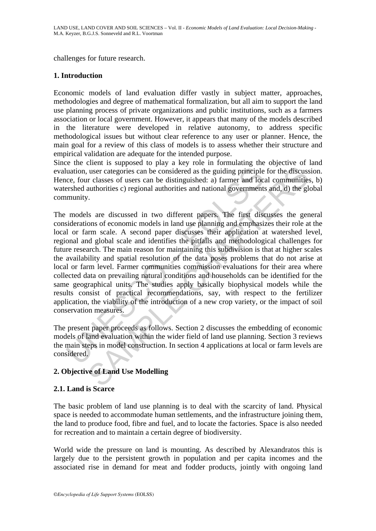challenges for future research.

#### **1. Introduction**

Economic models of land evaluation differ vastly in subject matter, approaches, methodologies and degree of mathematical formalization, but all aim to support the land use planning process of private organizations and public institutions, such as a farmers association or local government. However, it appears that many of the models described in the literature were developed in relative autonomy, to address specific methodological issues but without clear reference to any user or planner. Hence, the main goal for a review of this class of models is to assess whether their structure and empirical validation are adequate for the intended purpose.

Since the client is supposed to play a key role in formulating the objective of land evaluation, user categories can be considered as the guiding principle for the discussion. Hence, four classes of users can be distinguished: a) farmer and local communities, b) watershed authorities c) regional authorities and national governments and, d) the global community.

uation, user categories can be considered as the guiding principle<br>ce, four classes of users can be considered as the guiding principle<br>ce, four classes of users can be distinguished: a) farmer and loc-<br>rshed authorities c user categories can be considered as the guiding principle for the discusses user categories can be considered as the guiding principle for the discusses of users can be distinguished: a) farmer and local communities c) re The models are discussed in two different papers. The first discusses the general considerations of economic models in land use planning and emphasizes their role at the local or farm scale. A second paper discusses their application at watershed level, regional and global scale and identifies the pitfalls and methodological challenges for future research. The main reason for maintaining this subdivision is that at higher scales the availability and spatial resolution of the data poses problems that do not arise at local or farm level. Farmer communities commission evaluations for their area where collected data on prevailing natural conditions and households can be identified for the same geographical units. The studies apply basically biophysical models while the results consist of practical recommendations, say, with respect to the fertilizer application, the viability of the introduction of a new crop variety, or the impact of soil conservation measures.

The present paper proceeds as follows. Section 2 discusses the embedding of economic models of land evaluation within the wider field of land use planning. Section 3 reviews the main steps in model construction. In section 4 applications at local or farm levels are considered.

#### **2. Objective of Land Use Modelling**

#### **2.1. Land is Scarce**

The basic problem of land use planning is to deal with the scarcity of land. Physical space is needed to accommodate human settlements, and the infrastructure joining them, the land to produce food, fibre and fuel, and to locate the factories. Space is also needed for recreation and to maintain a certain degree of biodiversity.

World wide the pressure on land is mounting. As described by Alexandratos this is largely due to the persistent growth in population and per capita incomes and the associated rise in demand for meat and fodder products, jointly with ongoing land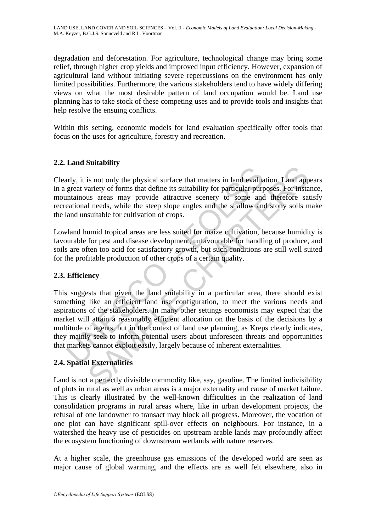degradation and deforestation. For agriculture, technological change may bring some relief, through higher crop yields and improved input efficiency. However, expansion of agricultural land without initiating severe repercussions on the environment has only limited possibilities. Furthermore, the various stakeholders tend to have widely differing views on what the most desirable pattern of land occupation would be. Land use planning has to take stock of these competing uses and to provide tools and insights that help resolve the ensuing conflicts.

Within this setting, economic models for land evaluation specifically offer tools that focus on the uses for agriculture, forestry and recreation.

## **2.2. Land Suitability**

Clearly, it is not only the physical surface that matters in land evaluation. Land appears in a great variety of forms that define its suitability for particular purposes. For instance, mountainous areas may provide attractive scenery to some and therefore satisfy recreational needs, while the steep slope angles and the shallow and stony soils make the land unsuitable for cultivation of crops.

Lowland humid tropical areas are less suited for maize cultivation, because humidity is favourable for pest and disease development, unfavourable for handling of produce, and soils are often too acid for satisfactory growth, but such conditions are still well suited for the profitable production of other crops of a certain quality.

#### **2.3. Efficiency**

and starting and the physical surface that matters in land evaluated are that with the sum at the sum and the set and are and provide attractive scenery to some and an eational needs, while the steep slope angles and the s Solution, Land applying that matters in land evaluation. Land apply is not only the physical surface that matters in land evaluation. Land apply is surfactly of forms that define its suitability for particular purposes. Fo This suggests that given the land suitability in a particular area, there should exist something like an efficient land use configuration, to meet the various needs and aspirations of the stakeholders. In many other settings economists may expect that the market will attain a reasonably efficient allocation on the basis of the decisions by a multitude of agents, but in the context of land use planning, as Kreps clearly indicates, they mainly seek to inform potential users about unforeseen threats and opportunities that markets cannot exploit easily, largely because of inherent externalities.

#### **2.4. Spatial Externalities**

Land is not a perfectly divisible commodity like, say, gasoline. The limited indivisibility of plots in rural as well as urban areas is a major externality and cause of market failure. This is clearly illustrated by the well-known difficulties in the realization of land consolidation programs in rural areas where, like in urban development projects, the refusal of one landowner to transact may block all progress. Moreover, the vocation of one plot can have significant spill-over effects on neighbours. For instance, in a watershed the heavy use of pesticides on upstream arable lands may profoundly affect the ecosystem functioning of downstream wetlands with nature reserves.

At a higher scale, the greenhouse gas emissions of the developed world are seen as major cause of global warming, and the effects are as well felt elsewhere, also in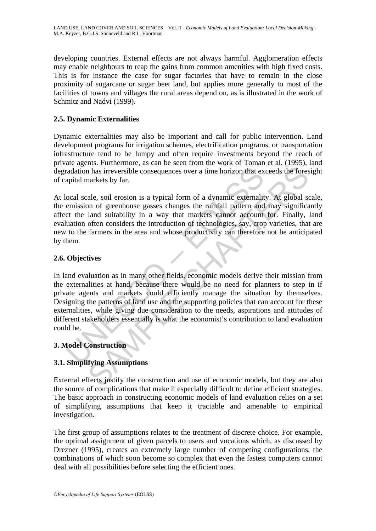developing countries. External effects are not always harmful. Agglomeration effects may enable neighbours to reap the gains from common amenities with high fixed costs. This is for instance the case for sugar factories that have to remain in the close proximity of sugarcane or sugar beet land, but applies more generally to most of the facilities of towns and villages the rural areas depend on, as is illustrated in the work of Schmitz and Nadvi (1999).

## **2.5. Dynamic Externalities**

Dynamic externalities may also be important and call for public intervention. Land development programs for irrigation schemes, electrification programs, or transportation infrastructure tend to be lumpy and often require investments beyond the reach of private agents. Furthermore, as can be seen from the work of Toman et al. (1995), land degradation has irreversible consequences over a time horizon that exceeds the foresight of capital markets by far.

At local scale, soil erosion is a typical form of a dynamic externality. At global scale, the emission of greenhouse gasses changes the rainfall pattern and may significantly affect the land suitability in a way that markets cannot account for. Finally, land evaluation often considers the introduction of technologies, say, crop varieties, that are new to the farmers in the area and whose productivity can therefore not be anticipated by them.

## **2.6. Objectives**

radation has irreversible consequences over a time horizon that ex<br>apital markets by far.<br>cocal scale, soil erosion is a typical form of a dynamic externality<br>emission of greenhouse gasses changes the rainfall pattern and<br> In has irreversible consequences over a time horizon that exceeds the forest<br>ankets by far.<br>ale, soil erosion is a typical form of a dynamic externality. At global so<br>m of greenhouse gasses changes the rainfall pattern and In land evaluation as in many other fields, economic models derive their mission from the externalities at hand, because there would be no need for planners to step in if private agents and markets could efficiently manage the situation by themselves. Designing the patterns of land use and the supporting policies that can account for these externalities, while giving due consideration to the needs, aspirations and attitudes of different stakeholders essentially is what the economist's contribution to land evaluation could be.

#### **3. Model Construction**

#### **3.1. Simplifying Assumptions**

External effects justify the construction and use of economic models, but they are also the source of complications that make it especially difficult to define efficient strategies. The basic approach in constructing economic models of land evaluation relies on a set of simplifying assumptions that keep it tractable and amenable to empirical investigation.

The first group of assumptions relates to the treatment of discrete choice. For example, the optimal assignment of given parcels to users and vocations which, as discussed by Drezner (1995), creates an extremely large number of competing configurations, the combinations of which soon become so complex that even the fastest computers cannot deal with all possibilities before selecting the efficient ones.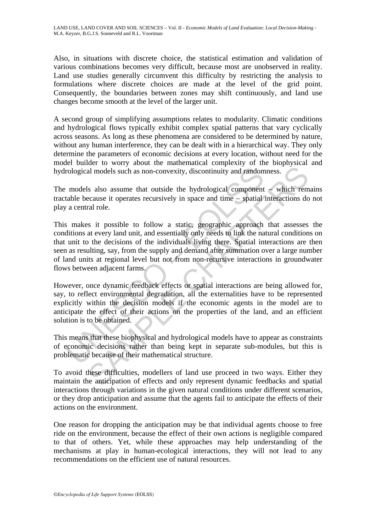Also, in situations with discrete choice, the statistical estimation and validation of various combinations becomes very difficult, because most are unobserved in reality. Land use studies generally circumvent this difficulty by restricting the analysis to formulations where discrete choices are made at the level of the grid point. Consequently, the boundaries between zones may shift continuously, and land use changes become smooth at the level of the larger unit.

A second group of simplifying assumptions relates to modularity. Climatic conditions and hydrological flows typically exhibit complex spatial patterns that vary cyclically across seasons. As long as these phenomena are considered to be determined by nature, without any human interference, they can be dealt with in a hierarchical way. They only determine the parameters of economic decisions at every location, without need for the model builder to worry about the mathematical complexity of the biophysical and hydrological models such as non-convexity, discontinuity and randomness.

The models also assume that outside the hydrological component – which remains tractable because it operates recursively in space and time − spatial interactions do not play a central role.

rological models such as non-convexity, discontinuity and random<br>models also assume that outside the hydrological component<br>table because it operates recursively in space and time – spatial<br>a central role.<br>s makes it possi and models such as non-convexity, discontinuity and randomness.<br>
Is also assume that outside the hydrological component – which remeates recursively in space and time – spatial interactions do<br>
recause it operates recursiv This makes it possible to follow a static, geographic approach that assesses the conditions at every land unit, and essentially only needs to link the natural conditions on that unit to the decisions of the individuals living there. Spatial interactions are then seen as resulting, say, from the supply and demand after summation over a large number of land units at regional level but not from non-recursive interactions in groundwater flows between adjacent farms.

However, once dynamic feedback effects or spatial interactions are being allowed for, say, to reflect environmental degradation, all the externalities have to be represented explicitly within the decision models if the economic agents in the model are to anticipate the effect of their actions on the properties of the land, and an efficient solution is to be obtained.

This means that these biophysical and hydrological models have to appear as constraints of economic decisions rather than being kept in separate sub-modules, but this is problematic because of their mathematical structure.

To avoid these difficulties, modellers of land use proceed in two ways. Either they maintain the anticipation of effects and only represent dynamic feedbacks and spatial interactions through variations in the given natural conditions under different scenarios, or they drop anticipation and assume that the agents fail to anticipate the effects of their actions on the environment.

One reason for dropping the anticipation may be that individual agents choose to free ride on the environment, because the effect of their own actions is negligible compared to that of others. Yet, while these approaches may help understanding of the mechanisms at play in human-ecological interactions, they will not lead to any recommendations on the efficient use of natural resources.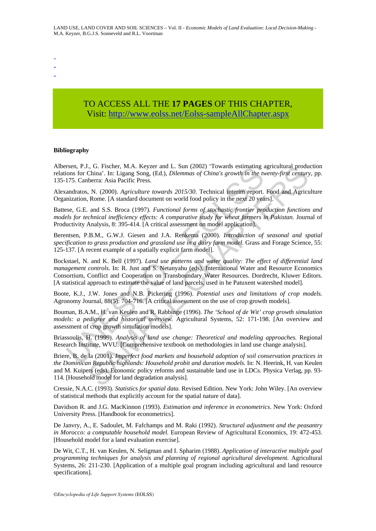- -

-

# TO ACCESS ALL THE **17 PAGES** OF THIS CHAPTER, Visit[: http://www.eolss.net/Eolss-sampleAllChapter.aspx](https://www.eolss.net/ebooklib/sc_cart.aspx?File=E1-05-02-08)

#### **Bibliography**

Albersen, P.J., G. Fischer, M.A. Keyzer and L. Sun (2002) 'Towards estimating agricultural production relations for China'. In: Ligang Song, (Ed.), *Dilemmas of China's growth in the twenty-first century*, pp. 135-175. Canberra: Asia Pacific Press.

Alexandratos, N. (2000). *Agriculture towards 2015/30*. Technical interim report. Food and Agriculture Organization, Rome. [A standard document on world food policy in the next 20 years].

Battese, G.E. and S.S. Broca (1997). *Functional forms of stochastic frontier production functions and models for technical inefficiency effects: A comparative study for wheat farmers in Pakistan.* Journal of Productivity Analysis, 8: 395-414. [A critical assessment on model application].

Berentsen, P.B.M., G.W.J. Giesen and J.A. Renkema (2000). *Introduction of seasonal and spatial specification to grass production and grassland use in a dairy farm model.* Grass and Forage Science, 55: 125-137. [A recent example of a spatially explicit farm model].

rsen, P.J., G. Fischer, M.A. Keyzer and L. Sun (2002) Towards estimaning<br>tons for China'. In: Ligang Song, (Ed.), *Dilemmas of China's growth in the ti*<br>175. Canberra: Asia Pacific Press.<br>andratos, N. (2000). Agriculture t Bockstael, N. and K. Bell (1997). *Land use patterns and water quality: The effect of differential land management controls*. In: R. Just and S. Netanyahu (eds), International Water and Resource Economics Consortium, Conflict and Cooperation on Transboundary Water Resources. Dordrecht, Kluwer Editors. [A statistical approach to estimate the value of land parcels, used in he Patuxent watershed model].

Boote, K.J., J.W. Jones and N.B. Pickering (1996). *Potential uses and limitations of crop models.* Agronomy Journal, 88(5): 704-716. [A critical assessment on the use of crop growth models].

Bouman, B.A.M., H. van Keulen and R. Rabbinge (1996). *The 'School of de Wit' crop growth simulation models: a pedigree and historical overview.* Agricultural Systems, 52: 171-198. [An overview and assessment of crop growth simulation models].

Briassoulis, H. (1999). *Analysis of land use change: Theoretical and modeling approaches.* Regional Research Institute, WVU. [Comprehensive textbook on methodologies in land use change analysis].

1, G. Frischer, M.A. Reyzer and L. San (2002<sup>-1</sup> Towards estimating agreatitural productions).<br>China'. In: Ligang Song, (Ed.), *Dilemmas of China's growth* in the twenty-first century<br>berra: Asia Pacific Press.<br>
N. (2000) Briere, B. de la (2001). *Imperfect food markets and household adoption of soil conservation practices in the Dominican Republic highlands: Household probit and duration models.* In: N. Heerink, H. van Keulen and M. Kuipers (eds), Economic policy reforms and sustainable land use in LDCs. Physica Verlag, pp. 93- 114. [Household model for land degradation analysis].

Cressie, N.A.C. (1993). *Statistics for spatial data.* Revised Edition. New York: John Wiley. [An overview of statistical methods that explicitly account for the spatial nature of data].

Davidson R. and J.G. MacKinnon (1993). *Estimation and inference in econometrics*. New York: Oxford University Press. [Handbook for econometrics].

De Janvry, A., E. Sadoulet, M. Fafchamps and M. Raki (1992). *Structural adjustment and the peasantry in Morocco: a computable household model.* European Review of Agricultural Economics, 19: 472-453. [Household model for a land evaluation exercise].

De Wit, C.T., H. van Keulen, N. Seligman and I. Spharim (1988). *Application of interactive multiple goal programming techniques for analysis and planning of regional agricultural development.* Agricultural Systems, 26: 211-230. [Application of a multiple goal program including agricultural and land resource specifications].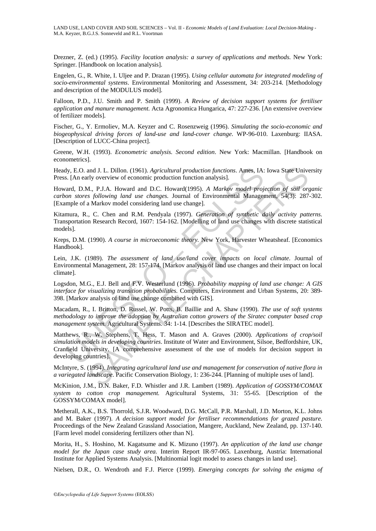Drezner, Z. (ed.) (1995). *Facility location analysis: a survey of applications and methods.* New York: Springer. [Handbook on location analysis].

Engelen, G., R. White, I. Uljee and P. Drazan (1995). *Using cellular automata for integrated modeling of socio-environmental systems*. Environmental Monitoring and Assessment, 34: 203-214. [Methodology and description of the MODULUS model].

Falloon, P.D., J.U. Smith and P. Smith (1999). *A Review of decision support systems for fertiliser application and manure management.* Acta Agronomica Hungarica, 47: 227-236. [An extensive overview of fertilizer models].

Fischer, G., Y. Ermoliev, M.A. Keyzer and C. Rosenzweig (1996). *Simulating the socio-economic and biogeophysical driving forces of land-use and land-cover change*. WP-96-010. Laxenburg: IIASA. [Description of LUCC-China project].

Greene, W.H. (1993). *Econometric analysis. Second edition*. New York: Macmillan. [Handbook on econometrics].

Heady, E.O. and J. L. Dillon. (1961). *Agricultural production functions*. Ames, IA: Iowa State University Press. [An early overview of economic production function analysis].

Howard, D.M., P.J.A. Howard and D.C. Howard(1995). *A Markov model projection of soil organic carbon stores following land use changes.* Journal of Environmental Management, 54(3): 287-302. [Example of a Markov model considering land use change].

Kitamura, R., C. Chen and R.M. Pendyala (1997). *Generation of synthetic daily activity patterns.* Transportation Research Record, 1607: 154-162. [Modelling of land use changes with discrete statistical models].

Kreps, D.M. (1990). *A course in microeconomic theory.* New York, Harvester Wheatsheaf. [Economics Handbook].

Lein, J.K. (1989). *The assessment of land use/land cover impacts on local climate*. Journal of Environmental Management, 28: 157-174. [Markov analysis of land use changes and their impact on local climate].

Logsdon, M.G., E.J. Bell and F.V. Westerlund (1996). *Probability mapping of land use change: A GIS interface for visualizing transition probabilities.* Computers, Environment and Urban Systems, 20: 389- 398. [Markov analysis of land use change combined with GIS].

Macadam, R., I. Britton, D. Russel, W. Potts, B. Baillie and A. Shaw (1990). *The use of soft systems methodology to improve the adoption by Australian cotton growers of the Siratec computer based crop management system.* Agricultural Systems*.* 34: 1-14. [Describes the SIRATEC model].

ly, E.O. and J. L. Dillon. (1961). Agricultural production functions. Ames, IA:<br>
I. [An early overview of economic production function analysis].<br>
ard, D.M., P.J.A. Howard and D.C. Howard(1995). *A Markov model projon*<br>
on and J. L. Dillon. (1961). Agricultural production functions. Ames, IA: Iowa State Univerly overview of economic production function analysis].<br>
S. p.J.A. Howard and D.C. Howard 1995). A Markov model projection of soil ory<br> Matthews, R., W. Stephens, T. Hess, T. Mason and A. Graves (2000). *Applications of crop/soil simulation models in developing countries*. Institute of Water and Environment, Silsoe, Bedfordshire, UK, Cranfield University. [A comprehensive assessment of the use of models for decision support in developing countries].

McIntyre, S. (1994). *Integrating agricultural land use and management for conservation of native flora in a variegated landscape*. Pacific Conservation Biology, 1: 236-244. [Planning of multiple uses of land].

McKinion, J.M., D.N. Baker, F.D. Whistler and J.R. Lambert (1989). *Application of GOSSYM/COMAX system to cotton crop management.* Agricultural Systems, 31: 55-65. [Description of the GOSSYM/COMAX model].

Metherall, A.K., B.S. Thorrold, S.J.R. Woodward, D.G. McCall, P.R. Marshall, J.D. Morton, K.L. Johns and M. Baker (1997). *A decision support model for fertiliser recommendations for grazed pasture.* Proceedings of the New Zealand Grassland Association, Mangere, Auckland, New Zealand, pp. 137-140. [Farm level model considering fertilizers other than N].

Morita, H., S. Hoshino, M. Kagatsume and K. Mizuno (1997). *An application of the land use change model for the Japan case study area.* Interim Report IR-97-065. Laxenburg, Austria: International Institute for Applied Systems Analysis. [Multinomial logit model to assess changes in land use].

Nielsen, D.R., O. Wendroth and F.J. Pierce (1999). *Emerging concepts for solving the enigma of*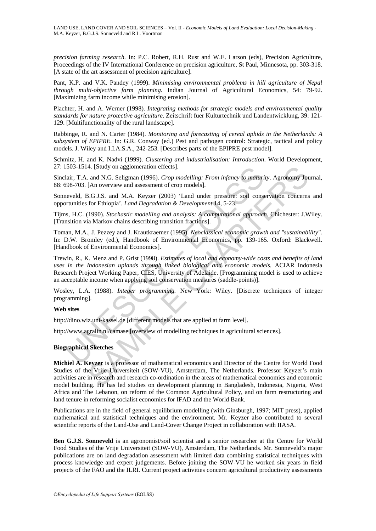*precision farming research.* In: P.C. Robert, R.H. Rust and W.E. Larson (eds), Precision Agriculture, Proceedings of the IV International Conference on precision agriculture, St Paul, Minnesota, pp. 303-318. [A state of the art assessment of precision agriculture].

Pant, K.P. and V.K. Pandey (1999). *Minimising environmental problems in hill agriculture of Nepal through multi-objective farm planning*. Indian Journal of Agricultural Economics, 54: 79-92. [Maximizing farm income while minimising erosion].

Plachter, H. and A. Werner (1998). *Integrating methods for strategic models and environmental quality standards for nature protective agriculture*. Zeitschrift fuer Kulturtechnik und Landentwicklung, 39: 121- 129. [Multifunctionality of the rural landscape].

Rabbinge, R. and N. Carter (1984). *Monitoring and forecasting of cereal aphids in the Netherlands: A subsystem of EPIPRE.* In: G.R. Conway (ed.) Pest and pathogen control: Strategic, tactical and policy models. J. Wiley and I.I.A.S.A., 242-253. [Describes parts of the EPIPRE pest model].

Schmitz, H. and K. Nadvi (1999). *Clustering and industrialisation: Introduction*. World Development, 27: 1503-1514. [Study on agglomeration effects].

Sinclair, T.A. and N.G. Seligman (1996). *Crop modelling: From infancy to maturity*. Agronomy Journal*,*  88: 698-703. [An overview and assessment of crop models].

Sonneveld, B.G.J.S. and M.A. Keyzer (2003) 'Land under pressure: soil conservation concerns and opportunities for Ethiopia'. *Land Degradation & Development* 14, 5-23.

Tijms, H.C. (1990). *Stochastic modelling and analysis: A computational approach*. Chichester: J.Wiley. [Transition via Markov chains describing transition fractions].

Toman, M.A., J. Pezzey and J. Krautkraemer (1995). *Neoclassical economic growth and "sustainability".* In: D.W. Bromley (ed.), Handbook of Environmental Economics, pp. 139-165. Oxford: Blackwell. [Handbook of Environmental Economics].

503-1514. [Study on agglomeration effects].<br>
air, T.A. and N.G. Seligman (1996). *Crop modelling: From infancy to matteri*<br>
by 8703. [An overview and assessment of crop models].<br>
bevelog, B.A. I.S. and M.A. Keyzer (2003) ' 4. [Study on agglomeration effects].<br>
a. an N.G. Selignan (1996). Crop modelling: From infancy to maturity. Agronomy Jot (An overview and assessment of crop models].<br>
1. An overview and assessment of crop models].<br>
3.G.J.S Trewin, R., K. Menz and P. Grist (1998). *Estimates of local and economy-wide costs and benefits of land uses in the Indonesian uplands through linked biological and economic models.* ACIAR Indonesia Research Project Working Paper, CIES, University of Adelaide. [Programming model is used to achieve an acceptable income when applying soil conservation measures (saddle-points)].

Wosley, L.A. (1988). *Integer programming.* New York: Wiley. [Discrete techniques of integer programming].

#### **Web sites**

http://dino.wiz.uni-kassel.de [different models that are applied at farm level].

http://www.agralin.nl/camase [overview of modelling techniques in agricultural sciences].

#### **Biographical Sketches**

**Michiel A. Keyzer** is a professor of mathematical economics and Director of the Centre for World Food Studies of the Vrije Universiteit (SOW-VU), Amsterdam, The Netherlands. Professor Keyzer's main activities are in research and research co-ordination in the areas of mathematical economics and economic model building. He has led studies on development planning in Bangladesh, Indonesia, Nigeria, West Africa and The Lebanon, on reform of the Common Agricultural Policy, and on farm restructuring and land tenure in reforming socialist economies for IFAD and the World Bank.

Publications are in the field of general equilibrium modelling (with Ginsburgh, 1997; MIT press), applied mathematical and statistical techniques and the environment. Mr. Keyzer also contributed to several scientific reports of the Land-Use and Land-Cover Change Project in collaboration with IIASA.

**Ben G.J.S. Sonneveld** is an agronomist/soil scientist and a senior researcher at the Centre for World Food Studies of the Vrije Universiteit (SOW-VU), Amsterdam, The Netherlands. Mr. Sonneveld's major publications are on land degradation assessment with limited data combining statistical techniques with process knowledge and expert judgements. Before joining the SOW-VU he worked six years in field projects of the FAO and the ILRI. Current project activities concern agricultural productivity assessments